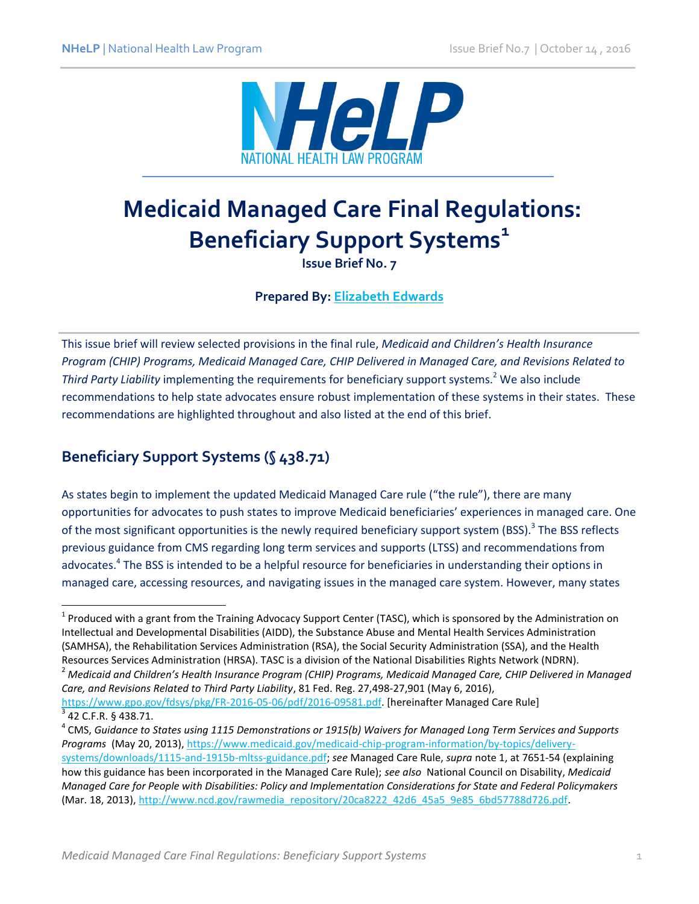

# **Medicaid Managed Care Final Regulations: Beneficiary Support Systems<sup>1</sup>**

**Issue Brief No. 7**

**Prepared By: [Elizabeth Edwards](http://www.healthlaw.org/about/staff/elizabeth-edwards)**

This issue brief will review selected provisions in the final rule, *Medicaid and Children's Health Insurance Program (CHIP) Programs, Medicaid Managed Care, CHIP Delivered in Managed Care, and Revisions Related to Third Party Liability* implementing the requirements for beneficiary support systems.<sup>2</sup> We also include recommendations to help state advocates ensure robust implementation of these systems in their states. These recommendations are highlighted throughout and also listed at the end of this brief.

### **Beneficiary Support Systems (§ 438.71)**

As states begin to implement the updated Medicaid Managed Care rule ("the rule"), there are many opportunities for advocates to push states to improve Medicaid beneficiaries' experiences in managed care. One of the most significant opportunities is the newly required beneficiary support system (BSS).<sup>3</sup> The BSS reflects previous guidance from CMS regarding long term services and supports (LTSS) and recommendations from advocates.<sup>4</sup> The BSS is intended to be a helpful resource for beneficiaries in understanding their options in managed care, accessing resources, and navigating issues in the managed care system. However, many states

 $\overline{\phantom{a}}$ <sup>1</sup> Produced with a grant from the Training Advocacy Support Center (TASC), which is sponsored by the Administration on Intellectual and Developmental Disabilities (AIDD), the Substance Abuse and Mental Health Services Administration (SAMHSA), the Rehabilitation Services Administration (RSA), the Social Security Administration (SSA), and the Health Resources Services Administration (HRSA). TASC is a division of the National Disabilities Rights Network (NDRN).

<sup>2</sup> *Medicaid and Children's Health Insurance Program (CHIP) Programs, Medicaid Managed Care, CHIP Delivered in Managed Care, and Revisions Related to Third Party Liability*, 81 Fed. Reg. 27,498-27,901 (May 6, 2016), [https://www.gpo.gov/fdsys/pkg/FR-2016-05-06/pdf/2016-09581.pdf.](https://www.gpo.gov/fdsys/pkg/FR-2016-05-06/pdf/2016-09581.pdf) [hereinafter Managed Care Rule] 3

<sup>42</sup> C.F.R. § 438.71.

<sup>4</sup> CMS, *Guidance to States using 1115 Demonstrations or 1915(b) Waivers for Managed Long Term Services and Supports Programs* (May 20, 2013), [https://www.medicaid.gov/medicaid-chip-program-information/by-topics/delivery](https://www.medicaid.gov/medicaid-chip-program-information/by-topics/delivery-systems/downloads/1115-and-1915b-mltss-guidance.pdf)[systems/downloads/1115-and-1915b-mltss-guidance.pdf;](https://www.medicaid.gov/medicaid-chip-program-information/by-topics/delivery-systems/downloads/1115-and-1915b-mltss-guidance.pdf) *see* Managed Care Rule, *supra* note 1, at 7651-54 (explaining how this guidance has been incorporated in the Managed Care Rule); *see also* National Council on Disability, *Medicaid Managed Care for People with Disabilities: Policy and Implementation Considerations for State and Federal Policymakers*  (Mar. 18, 2013)[, http://www.ncd.gov/rawmedia\\_repository/20ca8222\\_42d6\\_45a5\\_9e85\\_6bd57788d726.pdf.](http://www.ncd.gov/rawmedia_repository/20ca8222_42d6_45a5_9e85_6bd57788d726.pdf)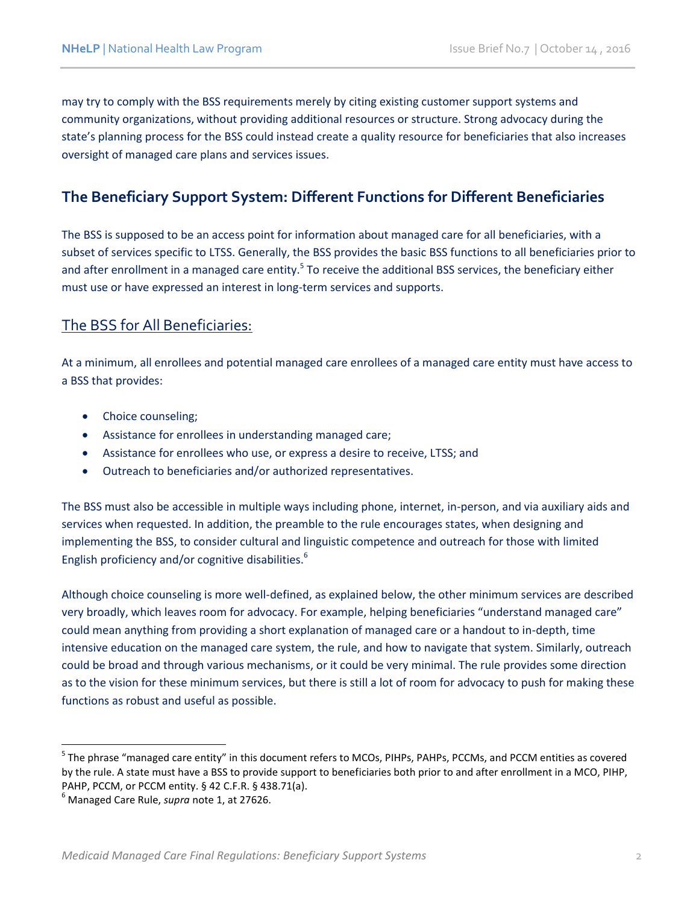may try to comply with the BSS requirements merely by citing existing customer support systems and community organizations, without providing additional resources or structure. Strong advocacy during the state's planning process for the BSS could instead create a quality resource for beneficiaries that also increases oversight of managed care plans and services issues.

### **The Beneficiary Support System: Different Functions for Different Beneficiaries**

The BSS is supposed to be an access point for information about managed care for all beneficiaries, with a subset of services specific to LTSS. Generally, the BSS provides the basic BSS functions to all beneficiaries prior to and after enrollment in a managed care entity.<sup>5</sup> To receive the additional BSS services, the beneficiary either must use or have expressed an interest in long-term services and supports.

### The BSS for All Beneficiaries:

At a minimum, all enrollees and potential managed care enrollees of a managed care entity must have access to a BSS that provides:

- Choice counseling;
- Assistance for enrollees in understanding managed care;
- Assistance for enrollees who use, or express a desire to receive, LTSS; and
- Outreach to beneficiaries and/or authorized representatives.

The BSS must also be accessible in multiple ways including phone, internet, in-person, and via auxiliary aids and services when requested. In addition, the preamble to the rule encourages states, when designing and implementing the BSS, to consider cultural and linguistic competence and outreach for those with limited English proficiency and/or cognitive disabilities.<sup>6</sup>

Although choice counseling is more well-defined, as explained below, the other minimum services are described very broadly, which leaves room for advocacy. For example, helping beneficiaries "understand managed care" could mean anything from providing a short explanation of managed care or a handout to in-depth, time intensive education on the managed care system, the rule, and how to navigate that system. Similarly, outreach could be broad and through various mechanisms, or it could be very minimal. The rule provides some direction as to the vision for these minimum services, but there is still a lot of room for advocacy to push for making these functions as robust and useful as possible.

 $\overline{a}$ 

<sup>&</sup>lt;sup>5</sup> The phrase "managed care entity" in this document refers to MCOs, PIHPs, PAHPs, PCCMs, and PCCM entities as covered by the rule. A state must have a BSS to provide support to beneficiaries both prior to and after enrollment in a MCO, PIHP, PAHP, PCCM, or PCCM entity. § 42 C.F.R. § 438.71(a).

<sup>6</sup> Managed Care Rule, *supra* note 1, at 27626.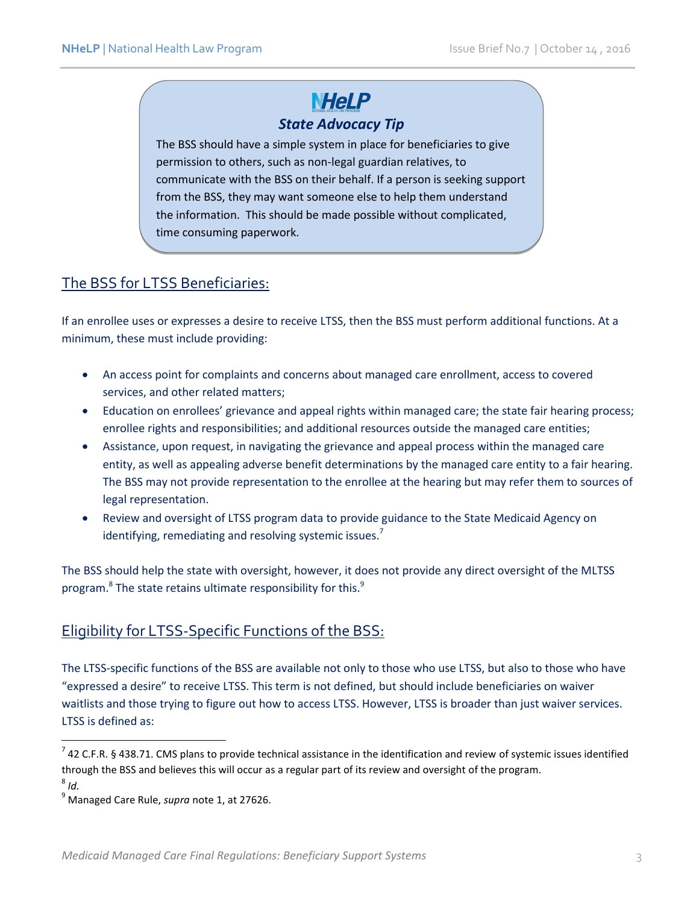### **NHeLP** *State Advocacy Tip*

The BSS should have a simple system in place for beneficiaries to give permission to others, such as non-legal guardian relatives, to communicate with the BSS on their behalf. If a person is seeking support from the BSS, they may want someone else to help them understand the information. This should be made possible without complicated, time consuming paperwork.

### The BSS for LTSS Beneficiaries:

If an enrollee uses or expresses a desire to receive LTSS, then the BSS must perform additional functions. At a minimum, these must include providing:

- An access point for complaints and concerns about managed care enrollment, access to covered services, and other related matters;
- Education on enrollees' grievance and appeal rights within managed care; the state fair hearing process; enrollee rights and responsibilities; and additional resources outside the managed care entities;
- Assistance, upon request, in navigating the grievance and appeal process within the managed care entity, as well as appealing adverse benefit determinations by the managed care entity to a fair hearing. The BSS may not provide representation to the enrollee at the hearing but may refer them to sources of legal representation.
- Review and oversight of LTSS program data to provide guidance to the State Medicaid Agency on identifying, remediating and resolving systemic issues.<sup>7</sup>

The BSS should help the state with oversight, however, it does not provide any direct oversight of the MLTSS program. $8$  The state retains ultimate responsibility for this. $9$ 

#### Eligibility for LTSS-Specific Functions of the BSS:

The LTSS-specific functions of the BSS are available not only to those who use LTSS, but also to those who have "expressed a desire" to receive LTSS. This term is not defined, but should include beneficiaries on waiver waitlists and those trying to figure out how to access LTSS. However, LTSS is broader than just waiver services. LTSS is defined as:

 $^7$  42 C.F.R. § 438.71. CMS plans to provide technical assistance in the identification and review of systemic issues identified through the BSS and believes this will occur as a regular part of its review and oversight of the program. 8 *Id.* 

<sup>9</sup> Managed Care Rule, *supra* note 1, at 27626.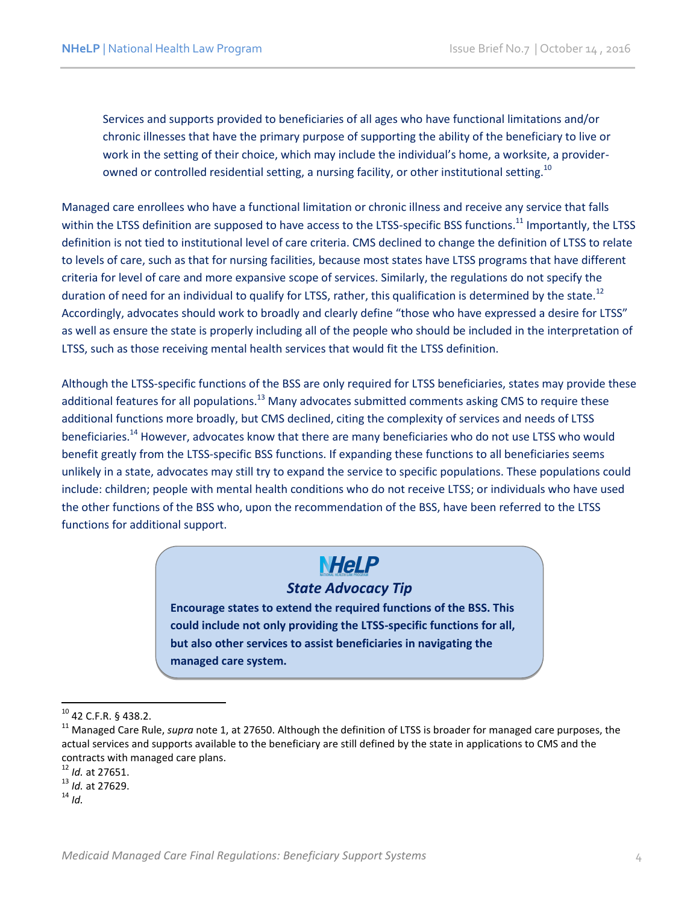Services and supports provided to beneficiaries of all ages who have functional limitations and/or chronic illnesses that have the primary purpose of supporting the ability of the beneficiary to live or work in the setting of their choice, which may include the individual's home, a worksite, a providerowned or controlled residential setting, a nursing facility, or other institutional setting.<sup>10</sup>

Managed care enrollees who have a functional limitation or chronic illness and receive any service that falls within the LTSS definition are supposed to have access to the LTSS-specific BSS functions.<sup>11</sup> Importantly, the LTSS definition is not tied to institutional level of care criteria. CMS declined to change the definition of LTSS to relate to levels of care, such as that for nursing facilities, because most states have LTSS programs that have different criteria for level of care and more expansive scope of services. Similarly, the regulations do not specify the duration of need for an individual to qualify for LTSS, rather, this qualification is determined by the state.<sup>12</sup> Accordingly, advocates should work to broadly and clearly define "those who have expressed a desire for LTSS" as well as ensure the state is properly including all of the people who should be included in the interpretation of LTSS, such as those receiving mental health services that would fit the LTSS definition.

Although the LTSS-specific functions of the BSS are only required for LTSS beneficiaries, states may provide these additional features for all populations.<sup>13</sup> Many advocates submitted comments asking CMS to require these additional functions more broadly, but CMS declined, citing the complexity of services and needs of LTSS beneficiaries.<sup>14</sup> However, advocates know that there are many beneficiaries who do not use LTSS who would benefit greatly from the LTSS-specific BSS functions. If expanding these functions to all beneficiaries seems unlikely in a state, advocates may still try to expand the service to specific populations. These populations could include: children; people with mental health conditions who do not receive LTSS; or individuals who have used the other functions of the BSS who, upon the recommendation of the BSS, have been referred to the LTSS functions for additional support.

### **NHeLP**

#### *State Advocacy Tip*

**Encourage states to extend the required functions of the BSS. This could include not only providing the LTSS-specific functions for all, but also other services to assist beneficiaries in navigating the managed care system.** 

<sup>14</sup> *Id.*

 $10$  42 C.F.R. § 438.2.

<sup>11</sup> Managed Care Rule, *supra* note 1, at 27650. Although the definition of LTSS is broader for managed care purposes, the actual services and supports available to the beneficiary are still defined by the state in applications to CMS and the contracts with managed care plans.

<sup>12</sup> *Id.* at 27651.

<sup>13</sup> *Id.* at 27629.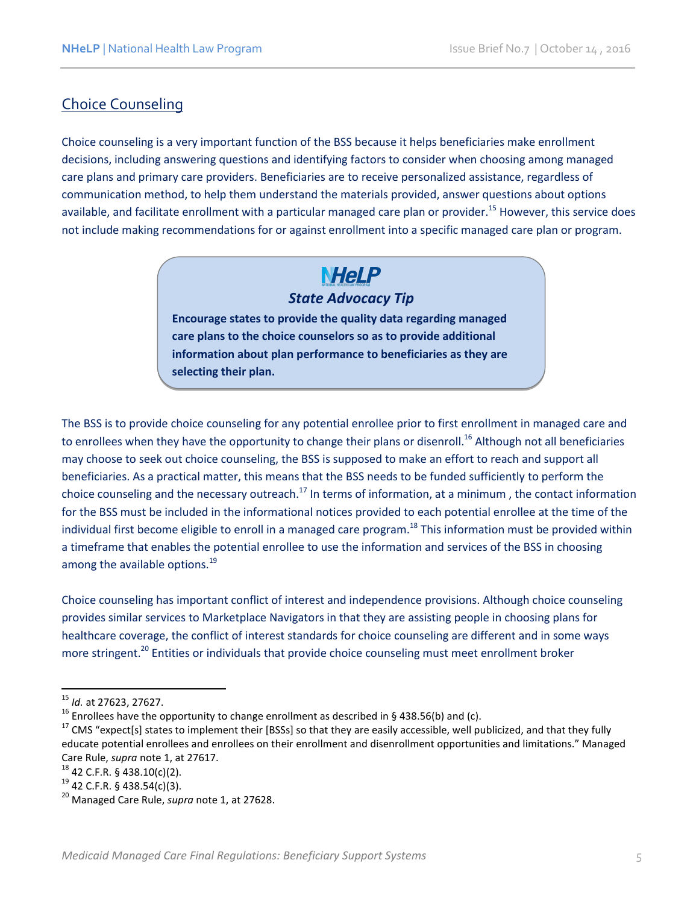### Choice Counseling

Choice counseling is a very important function of the BSS because it helps beneficiaries make enrollment decisions, including answering questions and identifying factors to consider when choosing among managed care plans and primary care providers. Beneficiaries are to receive personalized assistance, regardless of communication method, to help them understand the materials provided, answer questions about options available, and facilitate enrollment with a particular managed care plan or provider.<sup>15</sup> However, this service does not include making recommendations for or against enrollment into a specific managed care plan or program.

## **NHeLP**

### *State Advocacy Tip*

**Encourage states to provide the quality data regarding managed care plans to the choice counselors so as to provide additional information about plan performance to beneficiaries as they are selecting their plan.** 

The BSS is to provide choice counseling for any potential enrollee prior to first enrollment in managed care and to enrollees when they have the opportunity to change their plans or disenroll.<sup>16</sup> Although not all beneficiaries may choose to seek out choice counseling, the BSS is supposed to make an effort to reach and support all beneficiaries. As a practical matter, this means that the BSS needs to be funded sufficiently to perform the choice counseling and the necessary outreach.<sup>17</sup> In terms of information, at a minimum, the contact information for the BSS must be included in the informational notices provided to each potential enrollee at the time of the individual first become eligible to enroll in a managed care program.<sup>18</sup> This information must be provided within a timeframe that enables the potential enrollee to use the information and services of the BSS in choosing among the available options.<sup>19</sup>

Choice counseling has important conflict of interest and independence provisions. Although choice counseling provides similar services to Marketplace Navigators in that they are assisting people in choosing plans for healthcare coverage, the conflict of interest standards for choice counseling are different and in some ways more stringent.<sup>20</sup> Entities or individuals that provide choice counseling must meet enrollment broker

<sup>15</sup> *Id.* at 27623, 27627.

<sup>&</sup>lt;sup>16</sup> Enrollees have the opportunity to change enrollment as described in § 438.56(b) and (c).

<sup>&</sup>lt;sup>17</sup> CMS "expect[s] states to implement their [BSSs] so that they are easily accessible, well publicized, and that they fully educate potential enrollees and enrollees on their enrollment and disenrollment opportunities and limitations." Managed Care Rule, *supra* note 1, at 27617.

<sup>18</sup> 42 C.F.R. § 438.10(c)(2).

 $19$  42 C.F.R. § 438.54(c)(3).

<sup>20</sup> Managed Care Rule, *supra* note 1, at 27628.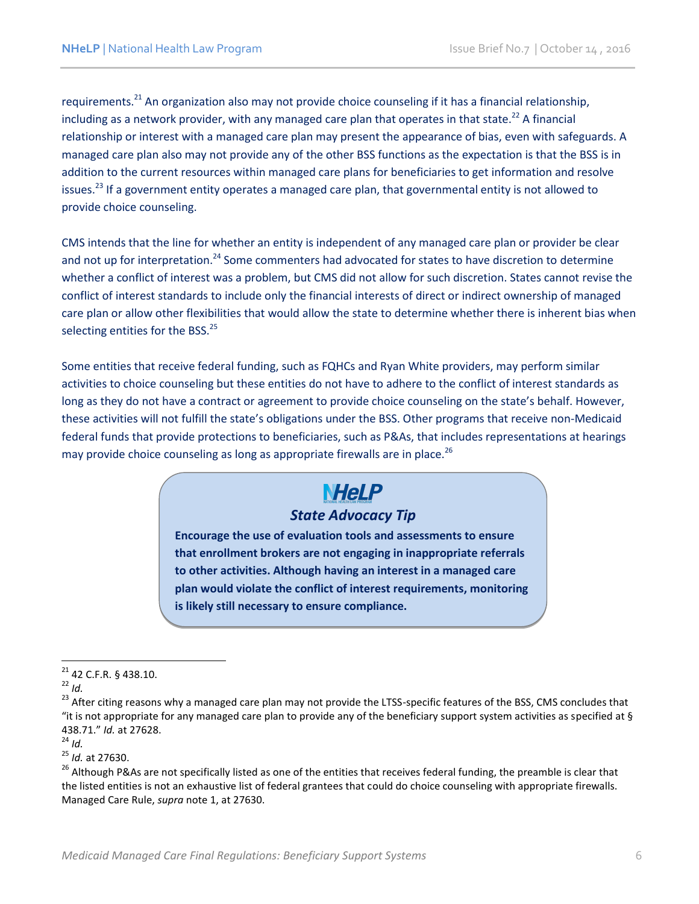requirements.<sup>21</sup> An organization also may not provide choice counseling if it has a financial relationship, including as a network provider, with any managed care plan that operates in that state.<sup>22</sup> A financial relationship or interest with a managed care plan may present the appearance of bias, even with safeguards. A managed care plan also may not provide any of the other BSS functions as the expectation is that the BSS is in addition to the current resources within managed care plans for beneficiaries to get information and resolve issues.<sup>23</sup> If a government entity operates a managed care plan, that governmental entity is not allowed to provide choice counseling.

CMS intends that the line for whether an entity is independent of any managed care plan or provider be clear and not up for interpretation.<sup>24</sup> Some commenters had advocated for states to have discretion to determine whether a conflict of interest was a problem, but CMS did not allow for such discretion. States cannot revise the conflict of interest standards to include only the financial interests of direct or indirect ownership of managed care plan or allow other flexibilities that would allow the state to determine whether there is inherent bias when selecting entities for the BSS.<sup>25</sup>

Some entities that receive federal funding, such as FQHCs and Ryan White providers, may perform similar activities to choice counseling but these entities do not have to adhere to the conflict of interest standards as long as they do not have a contract or agreement to provide choice counseling on the state's behalf. However, these activities will not fulfill the state's obligations under the BSS. Other programs that receive non-Medicaid federal funds that provide protections to beneficiaries, such as P&As, that includes representations at hearings may provide choice counseling as long as appropriate firewalls are in place.<sup>26</sup>

## **NHeLP**

### *State Advocacy Tip*

**Encourage the use of evaluation tools and assessments to ensure that enrollment brokers are not engaging in inappropriate referrals to other activities. Although having an interest in a managed care plan would violate the conflict of interest requirements, monitoring is likely still necessary to ensure compliance.** 

 $^{24}$  *Id.* 

<sup>25</sup> *Id.* at 27630.

 $\overline{\phantom{a}}$  $21$  42 C.F.R. § 438.10.

<sup>22</sup> *Id.*

<sup>&</sup>lt;sup>23</sup> After citing reasons why a managed care plan may not provide the LTSS-specific features of the BSS, CMS concludes that "it is not appropriate for any managed care plan to provide any of the beneficiary support system activities as specified at § 438.71." *Id.* at 27628.

<sup>&</sup>lt;sup>26</sup> Although P&As are not specifically listed as one of the entities that receives federal funding, the preamble is clear that the listed entities is not an exhaustive list of federal grantees that could do choice counseling with appropriate firewalls. Managed Care Rule, *supra* note 1, at 27630.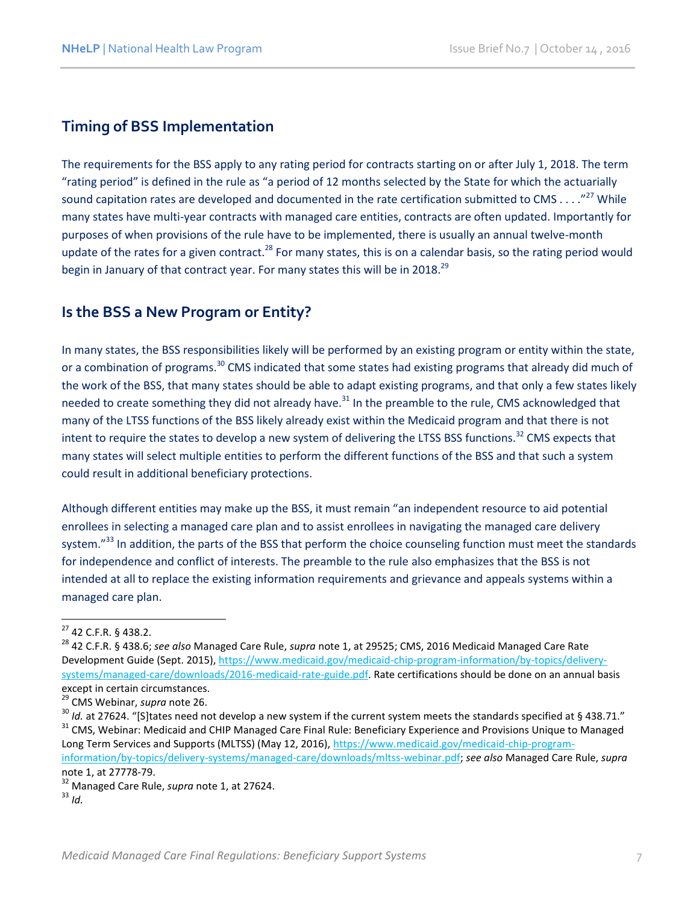### **Timing of BSS Implementation**

The requirements for the BSS apply to any rating period for contracts starting on or after July 1, 2018. The term "rating period" is defined in the rule as "a period of 12 months selected by the State for which the actuarially sound capitation rates are developed and documented in the rate certification submitted to CMS . . . ."<sup>27</sup> While many states have multi-year contracts with managed care entities, contracts are often updated. Importantly for purposes of when provisions of the rule have to be implemented, there is usually an annual twelve-month update of the rates for a given contract.<sup>28</sup> For many states, this is on a calendar basis, so the rating period would begin in January of that contract year. For many states this will be in 2018.<sup>29</sup>

#### **Is the BSS a New Program or Entity?**

In many states, the BSS responsibilities likely will be performed by an existing program or entity within the state, or a combination of programs.<sup>30</sup> CMS indicated that some states had existing programs that already did much of the work of the BSS, that many states should be able to adapt existing programs, and that only a few states likely needed to create something they did not already have.<sup>31</sup> In the preamble to the rule, CMS acknowledged that many of the LTSS functions of the BSS likely already exist within the Medicaid program and that there is not intent to require the states to develop a new system of delivering the LTSS BSS functions.<sup>32</sup> CMS expects that many states will select multiple entities to perform the different functions of the BSS and that such a system could result in additional beneficiary protections.

Although different entities may make up the BSS, it must remain "an independent resource to aid potential enrollees in selecting a managed care plan and to assist enrollees in navigating the managed care delivery system."<sup>33</sup> In addition, the parts of the BSS that perform the choice counseling function must meet the standards for independence and conflict of interests. The preamble to the rule also emphasizes that the BSS is not intended at all to replace the existing information requirements and grievance and appeals systems within a managed care plan.

l

<sup>27</sup> 42 C.F.R. § 438.2.

<sup>28</sup> 42 C.F.R. § 438.6; *see also* Managed Care Rule, *supra* note 1, at 29525; CMS, 2016 Medicaid Managed Care Rate Development Guide (Sept. 2015)[, https://www.medicaid.gov/medicaid-chip-program-information/by-topics/delivery](https://www.medicaid.gov/medicaid-chip-program-information/by-topics/delivery-systems/managed-care/downloads/2016-medicaid-rate-guide.pdf)[systems/managed-care/downloads/2016-medicaid-rate-guide.pdf.](https://www.medicaid.gov/medicaid-chip-program-information/by-topics/delivery-systems/managed-care/downloads/2016-medicaid-rate-guide.pdf) Rate certifications should be done on an annual basis except in certain circumstances.

<sup>29</sup> CMS Webinar, *supra* note 26.

<sup>&</sup>lt;sup>30</sup> *Id.* at 27624. "[S]tates need not develop a new system if the current system meets the standards specified at § 438.71." <sup>31</sup> CMS. Webinar: Medicaid and CHIP Managed Care Final Rule: Beneficiary Experience and Provisions Unique to Managed Long Term Services and Supports (MLTSS) (May 12, 2016), [https://www.medicaid.gov/medicaid-chip-program](https://www.medicaid.gov/medicaid-chip-program-information/by-topics/delivery-systems/managed-care/downloads/mltss-webinar.pdf)[information/by-topics/delivery-systems/managed-care/downloads/mltss-webinar.pdf;](https://www.medicaid.gov/medicaid-chip-program-information/by-topics/delivery-systems/managed-care/downloads/mltss-webinar.pdf) *see also* Managed Care Rule, *supra*  note 1, at 27778-79.

<sup>32</sup> Managed Care Rule, *supra* note 1, at 27624. <sup>33</sup> *Id.*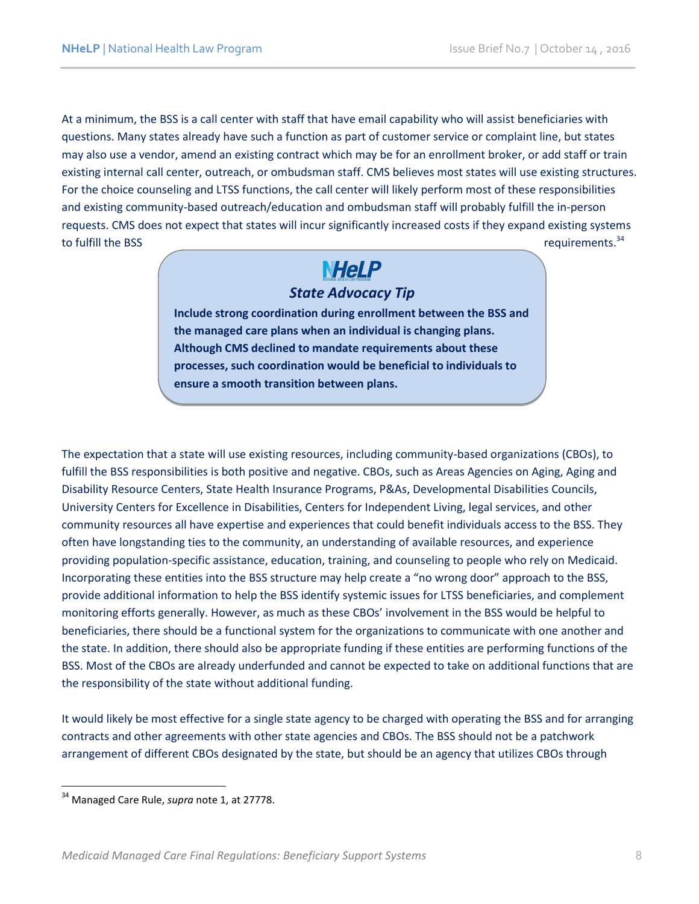At a minimum, the BSS is a call center with staff that have email capability who will assist beneficiaries with questions. Many states already have such a function as part of customer service or complaint line, but states may also use a vendor, amend an existing contract which may be for an enrollment broker, or add staff or train existing internal call center, outreach, or ombudsman staff. CMS believes most states will use existing structures. For the choice counseling and LTSS functions, the call center will likely perform most of these responsibilities and existing community-based outreach/education and ombudsman staff will probably fulfill the in-person requests. CMS does not expect that states will incur significantly increased costs if they expand existing systems to fulfill the BSS requirements.<sup>34</sup>

## **NHeLP**

### *State Advocacy Tip*

**Include strong coordination during enrollment between the BSS and the managed care plans when an individual is changing plans. Although CMS declined to mandate requirements about these processes, such coordination would be beneficial to individuals to ensure a smooth transition between plans.**

The expectation that a state will use existing resources, including community-based organizations (CBOs), to fulfill the BSS responsibilities is both positive and negative. CBOs, such as Areas Agencies on Aging, Aging and Disability Resource Centers, State Health Insurance Programs, P&As, Developmental Disabilities Councils, University Centers for Excellence in Disabilities, Centers for Independent Living, legal services, and other community resources all have expertise and experiences that could benefit individuals access to the BSS. They often have longstanding ties to the community, an understanding of available resources, and experience providing population-specific assistance, education, training, and counseling to people who rely on Medicaid. Incorporating these entities into the BSS structure may help create a "no wrong door" approach to the BSS, provide additional information to help the BSS identify systemic issues for LTSS beneficiaries, and complement monitoring efforts generally. However, as much as these CBOs' involvement in the BSS would be helpful to beneficiaries, there should be a functional system for the organizations to communicate with one another and the state. In addition, there should also be appropriate funding if these entities are performing functions of the BSS. Most of the CBOs are already underfunded and cannot be expected to take on additional functions that are the responsibility of the state without additional funding.

It would likely be most effective for a single state agency to be charged with operating the BSS and for arranging contracts and other agreements with other state agencies and CBOs. The BSS should not be a patchwork arrangement of different CBOs designated by the state, but should be an agency that utilizes CBOs through

<sup>34</sup> Managed Care Rule, *supra* note 1, at 27778.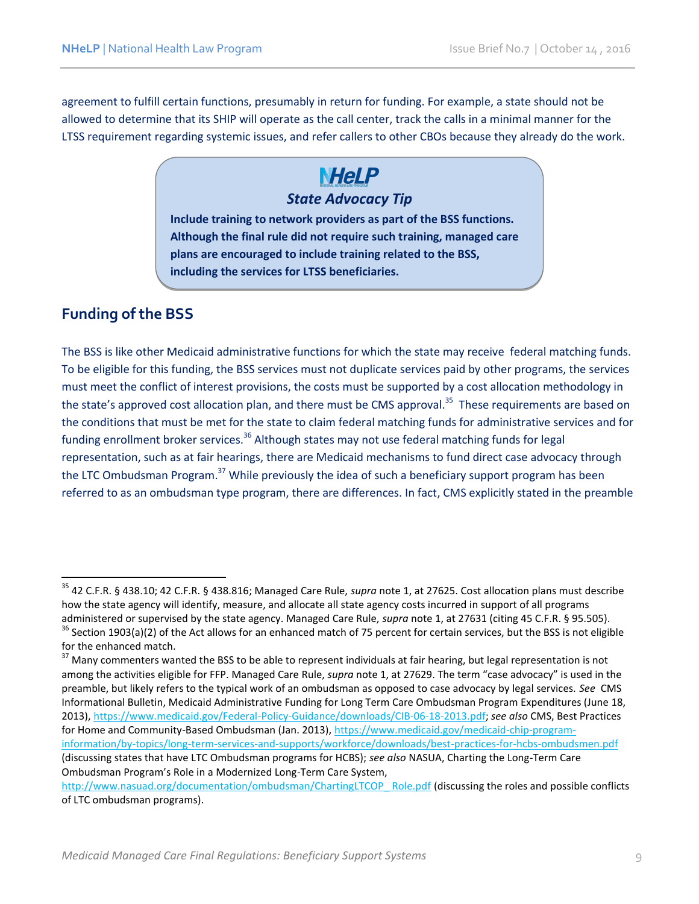agreement to fulfill certain functions, presumably in return for funding. For example, a state should not be allowed to determine that its SHIP will operate as the call center, track the calls in a minimal manner for the LTSS requirement regarding systemic issues, and refer callers to other CBOs because they already do the work.

### **NHeLP** *State Advocacy Tip*

**Include training to network providers as part of the BSS functions. Although the final rule did not require such training, managed care plans are encouraged to include training related to the BSS, including the services for LTSS beneficiaries.** 

### **Funding of the BSS**

 $\overline{\phantom{a}}$ 

The BSS is like other Medicaid administrative functions for which the state may receive federal matching funds. To be eligible for this funding, the BSS services must not duplicate services paid by other programs, the services must meet the conflict of interest provisions, the costs must be supported by a cost allocation methodology in the state's approved cost allocation plan, and there must be CMS approval.<sup>35</sup> These requirements are based on the conditions that must be met for the state to claim federal matching funds for administrative services and for funding enrollment broker services.<sup>36</sup> Although states may not use federal matching funds for legal representation, such as at fair hearings, there are Medicaid mechanisms to fund direct case advocacy through the LTC Ombudsman Program.<sup>37</sup> While previously the idea of such a beneficiary support program has been referred to as an ombudsman type program, there are differences. In fact, CMS explicitly stated in the preamble

<sup>35</sup> 42 C.F.R. § 438.10; 42 C.F.R. § 438.816; Managed Care Rule, *supra* note 1, at 27625. Cost allocation plans must describe how the state agency will identify, measure, and allocate all state agency costs incurred in support of all programs administered or supervised by the state agency. Managed Care Rule, *supra* note 1, at 27631 (citing 45 C.F.R. § 95.505).

 $36$  Section 1903(a)(2) of the Act allows for an enhanced match of 75 percent for certain services, but the BSS is not eligible for the enhanced match.

<sup>&</sup>lt;sup>37</sup> Many commenters wanted the BSS to be able to represent individuals at fair hearing, but legal representation is not among the activities eligible for FFP. Managed Care Rule, *supra* note 1, at 27629. The term "case advocacy" is used in the preamble, but likely refers to the typical work of an ombudsman as opposed to case advocacy by legal services. *See* CMS Informational Bulletin, Medicaid Administrative Funding for Long Term Care Ombudsman Program Expenditures (June 18, 2013), [https://www.medicaid.gov/Federal-Policy-Guidance/downloads/CIB-06-18-2013.pdf;](https://www.medicaid.gov/Federal-Policy-Guidance/downloads/CIB-06-18-2013.pdf) *see also* CMS, Best Practices for Home and Community-Based Ombudsman (Jan. 2013), [https://www.medicaid.gov/medicaid-chip-program](https://www.medicaid.gov/medicaid-chip-program-information/by-topics/long-term-services-and-supports/workforce/downloads/best-practices-for-hcbs-ombudsmen.pdf)[information/by-topics/long-term-services-and-supports/workforce/downloads/best-practices-for-hcbs-ombudsmen.pdf](https://www.medicaid.gov/medicaid-chip-program-information/by-topics/long-term-services-and-supports/workforce/downloads/best-practices-for-hcbs-ombudsmen.pdf) (discussing states that have LTC Ombudsman programs for HCBS); *see also* NASUA, Charting the Long-Term Care Ombudsman Program's Role in a Modernized Long-Term Care System,

[http://www.nasuad.org/documentation/ombudsman/ChartingLTCOP\\_ Role.pdf](http://www.nasuad.org/documentation/ombudsman/ChartingLTCOP_%20Role.pdf) (discussing the roles and possible conflicts of LTC ombudsman programs).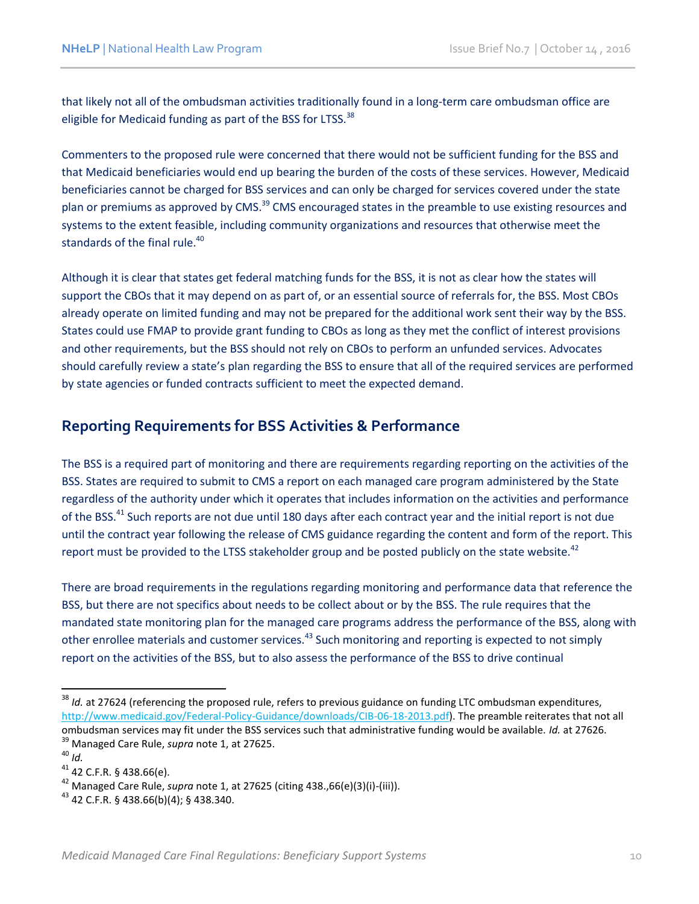that likely not all of the ombudsman activities traditionally found in a long-term care ombudsman office are eligible for Medicaid funding as part of the BSS for LTSS.<sup>38</sup>

Commenters to the proposed rule were concerned that there would not be sufficient funding for the BSS and that Medicaid beneficiaries would end up bearing the burden of the costs of these services. However, Medicaid beneficiaries cannot be charged for BSS services and can only be charged for services covered under the state plan or premiums as approved by CMS.<sup>39</sup> CMS encouraged states in the preamble to use existing resources and systems to the extent feasible, including community organizations and resources that otherwise meet the standards of the final rule.<sup>40</sup>

Although it is clear that states get federal matching funds for the BSS, it is not as clear how the states will support the CBOs that it may depend on as part of, or an essential source of referrals for, the BSS. Most CBOs already operate on limited funding and may not be prepared for the additional work sent their way by the BSS. States could use FMAP to provide grant funding to CBOs as long as they met the conflict of interest provisions and other requirements, but the BSS should not rely on CBOs to perform an unfunded services. Advocates should carefully review a state's plan regarding the BSS to ensure that all of the required services are performed by state agencies or funded contracts sufficient to meet the expected demand.

### **Reporting Requirements for BSS Activities & Performance**

The BSS is a required part of monitoring and there are requirements regarding reporting on the activities of the BSS. States are required to submit to CMS a report on each managed care program administered by the State regardless of the authority under which it operates that includes information on the activities and performance of the BSS.<sup>41</sup> Such reports are not due until 180 days after each contract year and the initial report is not due until the contract year following the release of CMS guidance regarding the content and form of the report. This report must be provided to the LTSS stakeholder group and be posted publicly on the state website.<sup>42</sup>

There are broad requirements in the regulations regarding monitoring and performance data that reference the BSS, but there are not specifics about needs to be collect about or by the BSS. The rule requires that the mandated state monitoring plan for the managed care programs address the performance of the BSS, along with other enrollee materials and customer services.<sup>43</sup> Such monitoring and reporting is expected to not simply report on the activities of the BSS, but to also assess the performance of the BSS to drive continual

<sup>&</sup>lt;sup>38</sup> *Id.* at 27624 (referencing the proposed rule, refers to previous guidance on funding LTC ombudsman expenditures, [http://www.medicaid.gov/Federal-Policy-Guidance/downloads/CIB-06-18-2013.pdf\)](http://www.medicaid.gov/Federal-Policy-Guidance/downloads/CIB-06-18-2013.pdf). The preamble reiterates that not all ombudsman services may fit under the BSS services such that administrative funding would be available. *Id.* at 27626. <sup>39</sup> Managed Care Rule, *supra* note 1, at 27625.

<sup>40</sup> *Id.* 

<sup>41</sup> 42 C.F.R. § 438.66(e).

<sup>42</sup> Managed Care Rule, *supra* note 1, at 27625 (citing 438.,66(e)(3)(i)-(iii)).

 $43$  42 C.F.R. § 438.66(b)(4); § 438.340.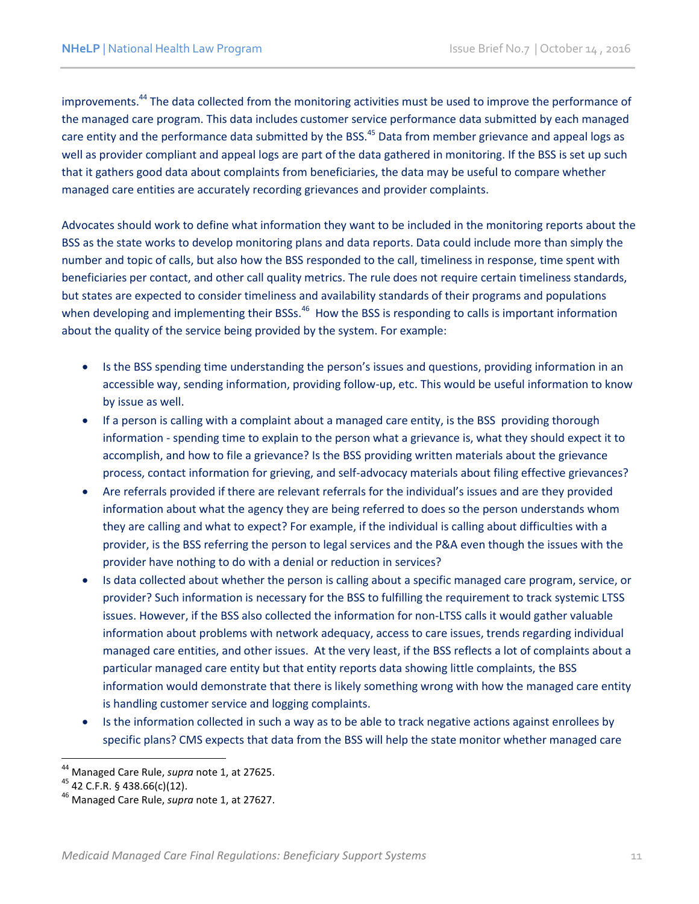improvements.<sup>44</sup> The data collected from the monitoring activities must be used to improve the performance of the managed care program. This data includes customer service performance data submitted by each managed care entity and the performance data submitted by the BSS.<sup>45</sup> Data from member grievance and appeal logs as well as provider compliant and appeal logs are part of the data gathered in monitoring. If the BSS is set up such that it gathers good data about complaints from beneficiaries, the data may be useful to compare whether managed care entities are accurately recording grievances and provider complaints.

Advocates should work to define what information they want to be included in the monitoring reports about the BSS as the state works to develop monitoring plans and data reports. Data could include more than simply the number and topic of calls, but also how the BSS responded to the call, timeliness in response, time spent with beneficiaries per contact, and other call quality metrics. The rule does not require certain timeliness standards, but states are expected to consider timeliness and availability standards of their programs and populations when developing and implementing their BSSs.<sup>46</sup> How the BSS is responding to calls is important information about the quality of the service being provided by the system. For example:

- Is the BSS spending time understanding the person's issues and questions, providing information in an accessible way, sending information, providing follow-up, etc. This would be useful information to know by issue as well.
- If a person is calling with a complaint about a managed care entity, is the BSS providing thorough information - spending time to explain to the person what a grievance is, what they should expect it to accomplish, and how to file a grievance? Is the BSS providing written materials about the grievance process, contact information for grieving, and self-advocacy materials about filing effective grievances?
- Are referrals provided if there are relevant referrals for the individual's issues and are they provided information about what the agency they are being referred to does so the person understands whom they are calling and what to expect? For example, if the individual is calling about difficulties with a provider, is the BSS referring the person to legal services and the P&A even though the issues with the provider have nothing to do with a denial or reduction in services?
- Is data collected about whether the person is calling about a specific managed care program, service, or provider? Such information is necessary for the BSS to fulfilling the requirement to track systemic LTSS issues. However, if the BSS also collected the information for non-LTSS calls it would gather valuable information about problems with network adequacy, access to care issues, trends regarding individual managed care entities, and other issues. At the very least, if the BSS reflects a lot of complaints about a particular managed care entity but that entity reports data showing little complaints, the BSS information would demonstrate that there is likely something wrong with how the managed care entity is handling customer service and logging complaints.
- Is the information collected in such a way as to be able to track negative actions against enrollees by specific plans? CMS expects that data from the BSS will help the state monitor whether managed care

 $\overline{\phantom{a}}$ <sup>44</sup> Managed Care Rule, *supra* note 1, at 27625.

 $45$  42 C.F.R. § 438.66(c)(12).

<sup>46</sup> Managed Care Rule, *supra* note 1, at 27627.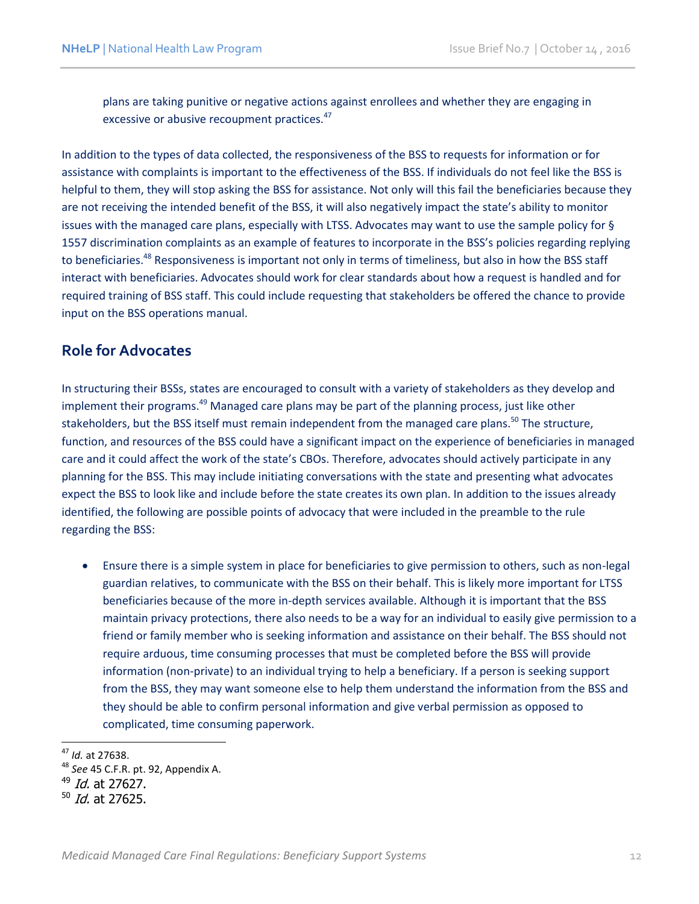plans are taking punitive or negative actions against enrollees and whether they are engaging in excessive or abusive recoupment practices.<sup>47</sup>

In addition to the types of data collected, the responsiveness of the BSS to requests for information or for assistance with complaints is important to the effectiveness of the BSS. If individuals do not feel like the BSS is helpful to them, they will stop asking the BSS for assistance. Not only will this fail the beneficiaries because they are not receiving the intended benefit of the BSS, it will also negatively impact the state's ability to monitor issues with the managed care plans, especially with LTSS. Advocates may want to use the sample policy for § 1557 discrimination complaints as an example of features to incorporate in the BSS's policies regarding replying to beneficiaries.<sup>48</sup> Responsiveness is important not only in terms of timeliness, but also in how the BSS staff interact with beneficiaries. Advocates should work for clear standards about how a request is handled and for required training of BSS staff. This could include requesting that stakeholders be offered the chance to provide input on the BSS operations manual.

#### **Role for Advocates**

In structuring their BSSs, states are encouraged to consult with a variety of stakeholders as they develop and implement their programs.<sup>49</sup> Managed care plans may be part of the planning process, just like other stakeholders, but the BSS itself must remain independent from the managed care plans.<sup>50</sup> The structure, function, and resources of the BSS could have a significant impact on the experience of beneficiaries in managed care and it could affect the work of the state's CBOs. Therefore, advocates should actively participate in any planning for the BSS. This may include initiating conversations with the state and presenting what advocates expect the BSS to look like and include before the state creates its own plan. In addition to the issues already identified, the following are possible points of advocacy that were included in the preamble to the rule regarding the BSS:

 Ensure there is a simple system in place for beneficiaries to give permission to others, such as non-legal guardian relatives, to communicate with the BSS on their behalf. This is likely more important for LTSS beneficiaries because of the more in-depth services available. Although it is important that the BSS maintain privacy protections, there also needs to be a way for an individual to easily give permission to a friend or family member who is seeking information and assistance on their behalf. The BSS should not require arduous, time consuming processes that must be completed before the BSS will provide information (non-private) to an individual trying to help a beneficiary. If a person is seeking support from the BSS, they may want someone else to help them understand the information from the BSS and they should be able to confirm personal information and give verbal permission as opposed to complicated, time consuming paperwork.

<sup>47</sup> *Id.* at 27638.

<sup>48</sup> *See* 45 C.F.R. pt. 92, Appendix A.

 $^{49}$  *Id.* at 27627.

<sup>&</sup>lt;sup>50</sup> *Id.* at 27625.